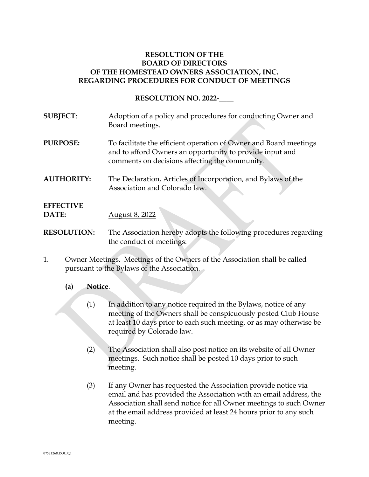## **RESOLUTION OF THE BOARD OF DIRECTORS OF THE HOMESTEAD OWNERS ASSOCIATION, INC. REGARDING PROCEDURES FOR CONDUCT OF MEETINGS**

**RESOLUTION NO. 2022-\_\_\_\_** 

- **SUBJECT**: Adoption of a policy and procedures for conducting Owner and Board meetings. **PURPOSE:** To facilitate the efficient operation of Owner and Board meetings and to afford Owners an opportunity to provide input and comments on decisions affecting the community. **AUTHORITY:** The Declaration, Articles of Incorporation, and Bylaws of the Association and Colorado law. **EFFECTIVE DATE:** August 8, 2022 **RESOLUTION:** The Association hereby adopts the following procedures regarding the conduct of meetings:
- 1. Owner Meetings. Meetings of the Owners of the Association shall be called pursuant to the Bylaws of the Association.
	- **(a) Notice**.
		- (1) In addition to any notice required in the Bylaws, notice of any meeting of the Owners shall be conspicuously posted Club House at least 10 days prior to each such meeting, or as may otherwise be required by Colorado law.
		- (2) The Association shall also post notice on its website of all Owner meetings. Such notice shall be posted 10 days prior to such meeting.
		- (3) If any Owner has requested the Association provide notice via email and has provided the Association with an email address, the Association shall send notice for all Owner meetings to such Owner at the email address provided at least 24 hours prior to any such meeting.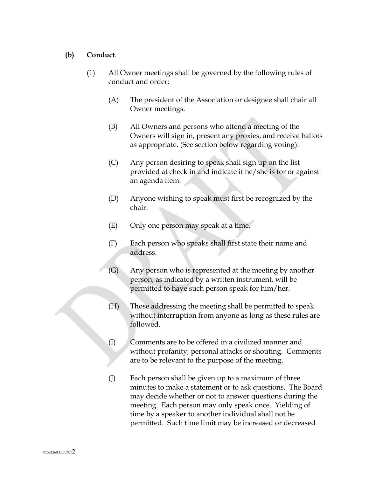#### **(b) Conduct**.

- (1) All Owner meetings shall be governed by the following rules of conduct and order:
	- (A) The president of the Association or designee shall chair all Owner meetings.
	- (B) All Owners and persons who attend a meeting of the Owners will sign in, present any proxies, and receive ballots as appropriate. (See section below regarding voting).
	- (C) Any person desiring to speak shall sign up on the list provided at check in and indicate if he/she is for or against an agenda item.
	- (D) Anyone wishing to speak must first be recognized by the chair.
	- (E) Only one person may speak at a time.
	- (F) Each person who speaks shall first state their name and address.
	- (G) Any person who is represented at the meeting by another person, as indicated by a written instrument, will be permitted to have such person speak for him/her.
	- (H) Those addressing the meeting shall be permitted to speak without interruption from anyone as long as these rules are followed.
	- (I) Comments are to be offered in a civilized manner and without profanity, personal attacks or shouting. Comments are to be relevant to the purpose of the meeting.
	- (J) Each person shall be given up to a maximum of three minutes to make a statement or to ask questions. The Board may decide whether or not to answer questions during the meeting. Each person may only speak once. Yielding of time by a speaker to another individual shall not be permitted. Such time limit may be increased or decreased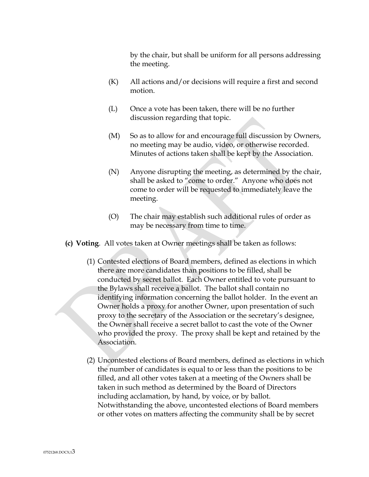by the chair, but shall be uniform for all persons addressing the meeting.

- (K) All actions and/or decisions will require a first and second motion.
- (L) Once a vote has been taken, there will be no further discussion regarding that topic.
- (M) So as to allow for and encourage full discussion by Owners, no meeting may be audio, video, or otherwise recorded. Minutes of actions taken shall be kept by the Association.
- (N) Anyone disrupting the meeting, as determined by the chair, shall be asked to "come to order." Anyone who does not come to order will be requested to immediately leave the meeting.
- (O) The chair may establish such additional rules of order as may be necessary from time to time.
- **(c) Voting**. All votes taken at Owner meetings shall be taken as follows:
	- (1) Contested elections of Board members, defined as elections in which there are more candidates than positions to be filled, shall be conducted by secret ballot. Each Owner entitled to vote pursuant to the Bylaws shall receive a ballot. The ballot shall contain no identifying information concerning the ballot holder. In the event an Owner holds a proxy for another Owner, upon presentation of such proxy to the secretary of the Association or the secretary's designee, the Owner shall receive a secret ballot to cast the vote of the Owner who provided the proxy. The proxy shall be kept and retained by the Association.
	- (2) Uncontested elections of Board members, defined as elections in which the number of candidates is equal to or less than the positions to be filled, and all other votes taken at a meeting of the Owners shall be taken in such method as determined by the Board of Directors including acclamation, by hand, by voice, or by ballot. Notwithstanding the above, uncontested elections of Board members or other votes on matters affecting the community shall be by secret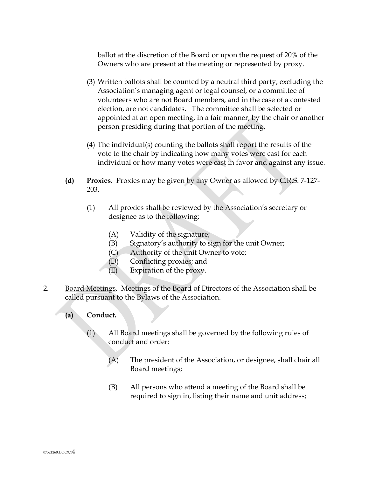ballot at the discretion of the Board or upon the request of 20% of the Owners who are present at the meeting or represented by proxy.

- (3) Written ballots shall be counted by a neutral third party, excluding the Association's managing agent or legal counsel, or a committee of volunteers who are not Board members, and in the case of a contested election, are not candidates. The committee shall be selected or appointed at an open meeting, in a fair manner, by the chair or another person presiding during that portion of the meeting.
- (4) The individual(s) counting the ballots shall report the results of the vote to the chair by indicating how many votes were cast for each individual or how many votes were cast in favor and against any issue.
- **(d) Proxies.** Proxies may be given by any Owner as allowed by C.R.S. 7-127- 203.
	- (1) All proxies shall be reviewed by the Association's secretary or designee as to the following:
		- (A) Validity of the signature;
		- (B) Signatory's authority to sign for the unit Owner;
		- (C) Authority of the unit Owner to vote;
		- (D) Conflicting proxies; and
		- (E) Expiration of the proxy.
- 2. Board Meetings. Meetings of the Board of Directors of the Association shall be called pursuant to the Bylaws of the Association.
	- **(a) Conduct.**
		- (1) All Board meetings shall be governed by the following rules of conduct and order:
			- (A) The president of the Association, or designee, shall chair all Board meetings;
			- (B) All persons who attend a meeting of the Board shall be required to sign in, listing their name and unit address;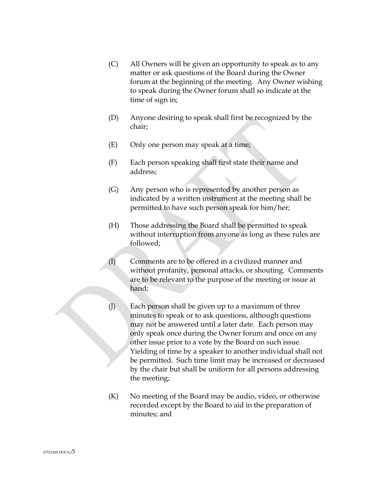- (C) All Owners will be given an opportunity to speak as to any matter or ask questions of the Board during the Owner forum at the beginning of the meeting. Any Owner wishing to speak during the Owner forum shall so indicate at the time of sign in;
- (D) Anyone desiring to speak shall first be recognized by the chair;
- (E) Only one person may speak at a time;
- (F) Each person speaking shall first state their name and address;
- (G) Any person who is represented by another person as indicated by a written instrument at the meeting shall be permitted to have such person speak for him/her;
- (H) Those addressing the Board shall be permitted to speak without interruption from anyone as long as these rules are followed;
- (I) Comments are to be offered in a civilized manner and without profanity, personal attacks, or shouting. Comments are to be relevant to the purpose of the meeting or issue at hand;
- (J) Each person shall be given up to a maximum of three minutes to speak or to ask questions, although questions may not be answered until a later date. Each person may only speak once during the Owner forum and once on any other issue prior to a vote by the Board on such issue. Yielding of time by a speaker to another individual shall not be permitted. Such time limit may be increased or decreased by the chair but shall be uniform for all persons addressing the meeting;
- (K) No meeting of the Board may be audio, video, or otherwise recorded except by the Board to aid in the preparation of minutes; and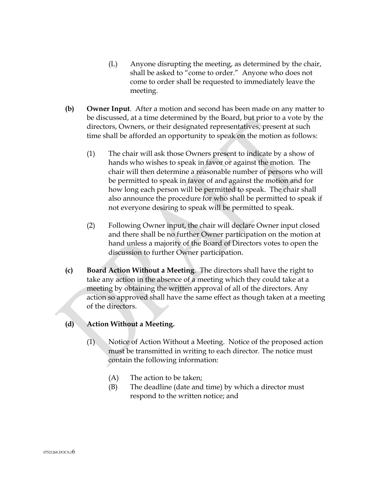- (L) Anyone disrupting the meeting, as determined by the chair, shall be asked to "come to order." Anyone who does not come to order shall be requested to immediately leave the meeting.
- **(b) Owner Input**. After a motion and second has been made on any matter to be discussed, at a time determined by the Board, but prior to a vote by the directors, Owners, or their designated representatives, present at such time shall be afforded an opportunity to speak on the motion as follows:
	- (1) The chair will ask those Owners present to indicate by a show of hands who wishes to speak in favor or against the motion. The chair will then determine a reasonable number of persons who will be permitted to speak in favor of and against the motion and for how long each person will be permitted to speak. The chair shall also announce the procedure for who shall be permitted to speak if not everyone desiring to speak will be permitted to speak.
	- (2) Following Owner input, the chair will declare Owner input closed and there shall be no further Owner participation on the motion at hand unless a majority of the Board of Directors votes to open the discussion to further Owner participation.
- **(c) Board Action Without a Meeting**. The directors shall have the right to take any action in the absence of a meeting which they could take at a meeting by obtaining the written approval of all of the directors. Any action so approved shall have the same effect as though taken at a meeting of the directors.

# **(d) Action Without a Meeting.**

- (1) Notice of Action Without a Meeting. Notice of the proposed action must be transmitted in writing to each director. The notice must contain the following information:
	- (A) The action to be taken;
	- (B) The deadline (date and time) by which a director must respond to the written notice; and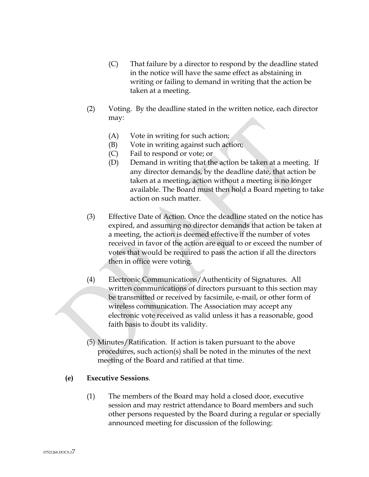- (C) That failure by a director to respond by the deadline stated in the notice will have the same effect as abstaining in writing or failing to demand in writing that the action be taken at a meeting.
- (2) Voting. By the deadline stated in the written notice, each director may:
	- (A) Vote in writing for such action;
	- (B) Vote in writing against such action;
	- (C) Fail to respond or vote; or
	- (D) Demand in writing that the action be taken at a meeting. If any director demands, by the deadline date, that action be taken at a meeting, action without a meeting is no longer available. The Board must then hold a Board meeting to take action on such matter.
- (3) Effective Date of Action. Once the deadline stated on the notice has expired, and assuming no director demands that action be taken at a meeting, the action is deemed effective if the number of votes received in favor of the action are equal to or exceed the number of votes that would be required to pass the action if all the directors then in office were voting.
- (4) Electronic Communications/Authenticity of Signatures. All written communications of directors pursuant to this section may be transmitted or received by facsimile, e-mail, or other form of wireless communication. The Association may accept any electronic vote received as valid unless it has a reasonable, good faith basis to doubt its validity.
- (5) Minutes/Ratification. If action is taken pursuant to the above procedures, such action(s) shall be noted in the minutes of the next meeting of the Board and ratified at that time.

### **(e) Executive Sessions**.

(1) The members of the Board may hold a closed door, executive session and may restrict attendance to Board members and such other persons requested by the Board during a regular or specially announced meeting for discussion of the following: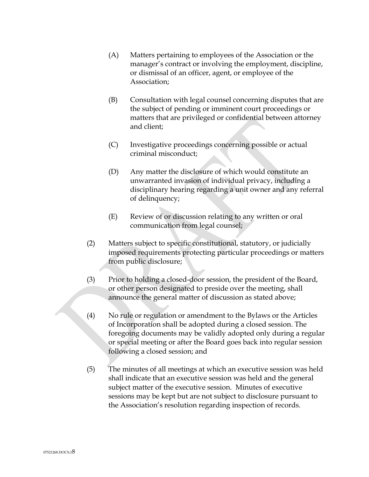- (A) Matters pertaining to employees of the Association or the manager's contract or involving the employment, discipline, or dismissal of an officer, agent, or employee of the Association;
- (B) Consultation with legal counsel concerning disputes that are the subject of pending or imminent court proceedings or matters that are privileged or confidential between attorney and client;
- (C) Investigative proceedings concerning possible or actual criminal misconduct;
- (D) Any matter the disclosure of which would constitute an unwarranted invasion of individual privacy, including a disciplinary hearing regarding a unit owner and any referral of delinquency;
- (E) Review of or discussion relating to any written or oral communication from legal counsel;
- (2) Matters subject to specific constitutional, statutory, or judicially imposed requirements protecting particular proceedings or matters from public disclosure;
- (3) Prior to holding a closed-door session, the president of the Board, or other person designated to preside over the meeting, shall announce the general matter of discussion as stated above;
- (4) No rule or regulation or amendment to the Bylaws or the Articles of Incorporation shall be adopted during a closed session. The foregoing documents may be validly adopted only during a regular or special meeting or after the Board goes back into regular session following a closed session; and
- (5) The minutes of all meetings at which an executive session was held shall indicate that an executive session was held and the general subject matter of the executive session. Minutes of executive sessions may be kept but are not subject to disclosure pursuant to the Association's resolution regarding inspection of records.